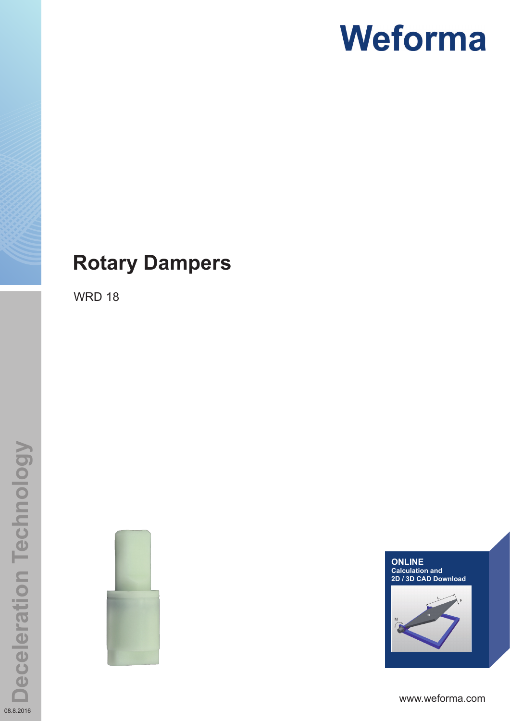### **Rotary Dampers**

WRD 18





www.weforma.com

08.8.2016

**Deceleration Technology**

**Deceleration Technology**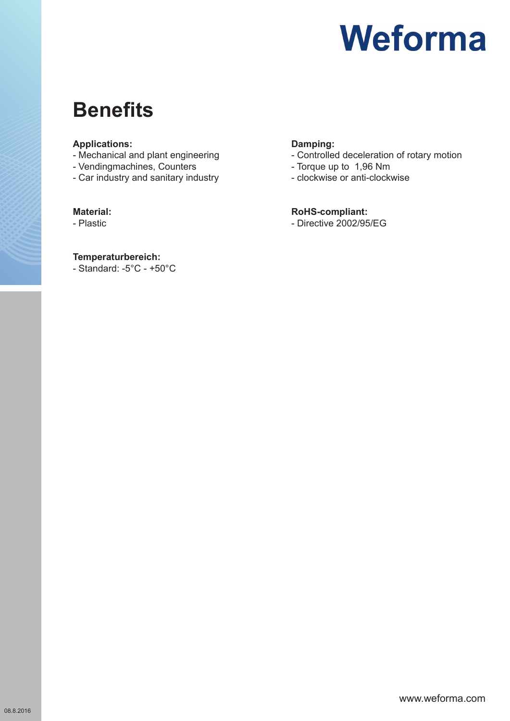### **Benefits**

#### **Applications:**

- Mechanical and plant engineering
- Vendingmachines, Counters
- Car industry and sanitary industry

#### **Material:**

- Plastic

#### **Temperaturbereich:**

- Standard: -5°C - +50°C

#### **Damping:**

- Controlled deceleration of rotary motion
- Torque up to 1,96 Nm
- clockwise or anti-clockwise

#### **RoHS-compliant:**

- Directive 2002/95/EG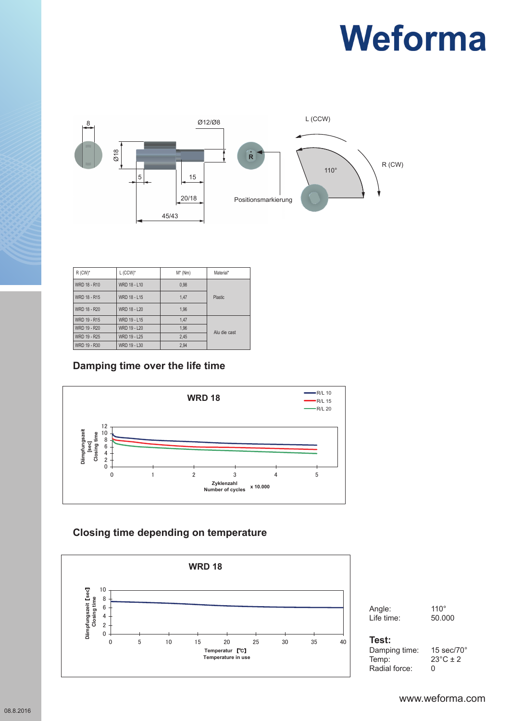

| $R$ (CW) <sup>*</sup> | $L$ (CCW)*   | $M^*$ (Nm) | Material*      |
|-----------------------|--------------|------------|----------------|
| WRD 18 - R10          | WRD 18 - L10 | 0.98       |                |
| WRD 18 - R15          | WRD 18 - L15 | 1,47       | <b>Plastic</b> |
| WRD 18 - R20          | WRD 18 - L20 | 1.96       |                |
| WRD 19 - R15          | WRD 19 - L15 | 1,47       | Alu die cast   |
| WRD 19 - R20          | WRD 19 - L20 | 1,96       |                |
| WRD 19 - R25          | WRD 19 - L25 | 2,45       |                |
| WRD 19 - R30          | WRD 19 - L30 | 2.94       |                |

#### **Damping time over the life time**



### **WRD 18 Closing time depending on temperature**



Angle: 110° Life time: 50.000

#### $Test:$ **Radialkräfte / Radial Force: 0**

Damping time: 15 sec/70° **Test:**  $23^{\circ}$ C ± 2<br>0 Radial force: 0 Temp: **Radialkräfte / Radial Force: 0**